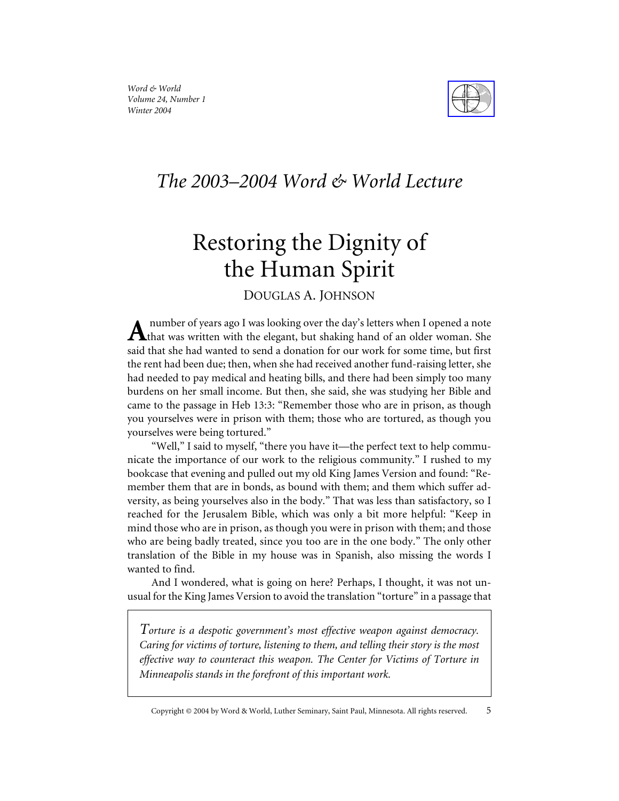



# *The 2003–2004 Word & World Lecture*

# Restoring the Dignity of the Human Spirit

DOUGLAS A. JOHNSON

number of years ago I was looking over the day's letters when I opened a note  $A$  that was written with the elegant, but shaking hand of an older woman. She said that she had wanted to send a donation for our work for some time, but first the rent had been due; then, when she had received another fund-raising letter, she had needed to pay medical and heating bills, and there had been simply too many burdens on her small income. But then, she said, she was studying her Bible and came to the passage in Heb 13:3: "Remember those who are in prison, as though you yourselves were in prison with them; those who are tortured, as though you yourselves were being tortured."

"Well," I said to myself, "there you have it—the perfect text to help communicate the importance of our work to the religious community." I rushed to my bookcase that evening and pulled out my old King James Version and found: "Remember them that are in bonds, as bound with them; and them which suffer adversity, as being yourselves also in the body." That was less than satisfactory, so I reached for the Jerusalem Bible, which was only a bit more helpful: "Keep in mind those who are in prison, as though you were in prison with them; and those who are being badly treated, since you too are in the one body." The only other translation of the Bible in my house was in Spanish, also missing the words I wanted to find.

And I wondered, what is going on here? Perhaps, I thought, it was not unusual for the King James Version to avoid the translation "torture" in a passage that

*Torture is a despotic government's most effective weapon against democracy. Caring for victims of torture, listening to them, and telling their story is the most effective way to counteract this weapon. The Center for Victims of Torture in Minneapolis stands in the forefront of this important work.*

Copyright © 2004 by Word & World, Luther Seminary, Saint Paul, Minnesota. All rights reserved. 5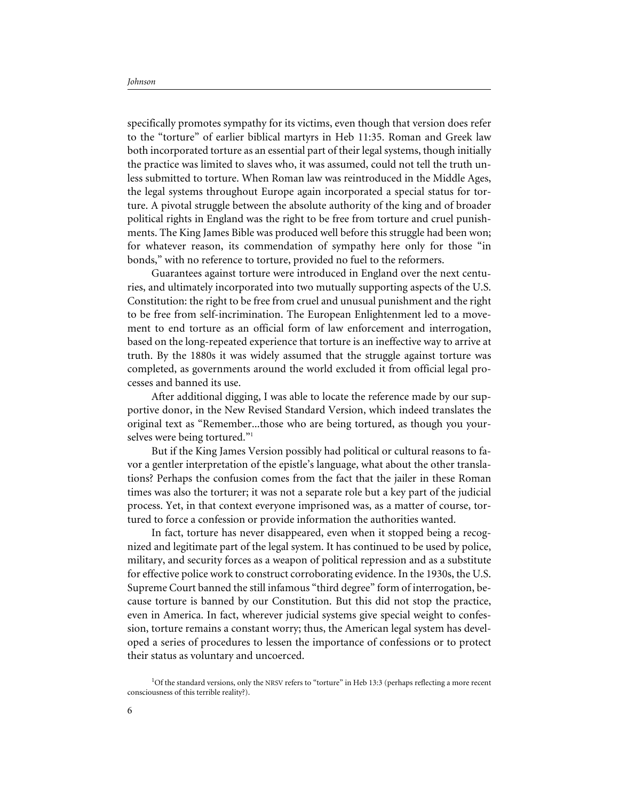specifically promotes sympathy for its victims, even though that version does refer to the "torture" of earlier biblical martyrs in Heb 11:35. Roman and Greek law both incorporated torture as an essential part of their legal systems, though initially the practice was limited to slaves who, it was assumed, could not tell the truth unless submitted to torture. When Roman law was reintroduced in the Middle Ages, the legal systems throughout Europe again incorporated a special status for torture. A pivotal struggle between the absolute authority of the king and of broader political rights in England was the right to be free from torture and cruel punishments. The King James Bible was produced well before this struggle had been won; for whatever reason, its commendation of sympathy here only for those "in bonds," with no reference to torture, provided no fuel to the reformers.

Guarantees against torture were introduced in England over the next centuries, and ultimately incorporated into two mutually supporting aspects of the U.S. Constitution: the right to be free from cruel and unusual punishment and the right to be free from self-incrimination. The European Enlightenment led to a movement to end torture as an official form of law enforcement and interrogation, based on the long-repeated experience that torture is an ineffective way to arrive at truth. By the 1880s it was widely assumed that the struggle against torture was completed, as governments around the world excluded it from official legal processes and banned its use.

After additional digging, I was able to locate the reference made by our supportive donor, in the New Revised Standard Version, which indeed translates the original text as "Remember...those who are being tortured, as though you yourselves were being tortured."<sup>1</sup>

But if the King James Version possibly had political or cultural reasons to favor a gentler interpretation of the epistle's language, what about the other translations? Perhaps the confusion comes from the fact that the jailer in these Roman times was also the torturer; it was not a separate role but a key part of the judicial process. Yet, in that context everyone imprisoned was, as a matter of course, tortured to force a confession or provide information the authorities wanted.

In fact, torture has never disappeared, even when it stopped being a recognized and legitimate part of the legal system. It has continued to be used by police, military, and security forces as a weapon of political repression and as a substitute for effective police work to construct corroborating evidence. In the 1930s, the U.S. Supreme Court banned the still infamous "third degree" form of interrogation, because torture is banned by our Constitution. But this did not stop the practice, even in America. In fact, wherever judicial systems give special weight to confession, torture remains a constant worry; thus, the American legal system has developed a series of procedures to lessen the importance of confessions or to protect their status as voluntary and uncoerced.

<sup>&</sup>lt;sup>1</sup>Of the standard versions, only the NRSV refers to "torture" in Heb 13:3 (perhaps reflecting a more recent consciousness of this terrible reality?).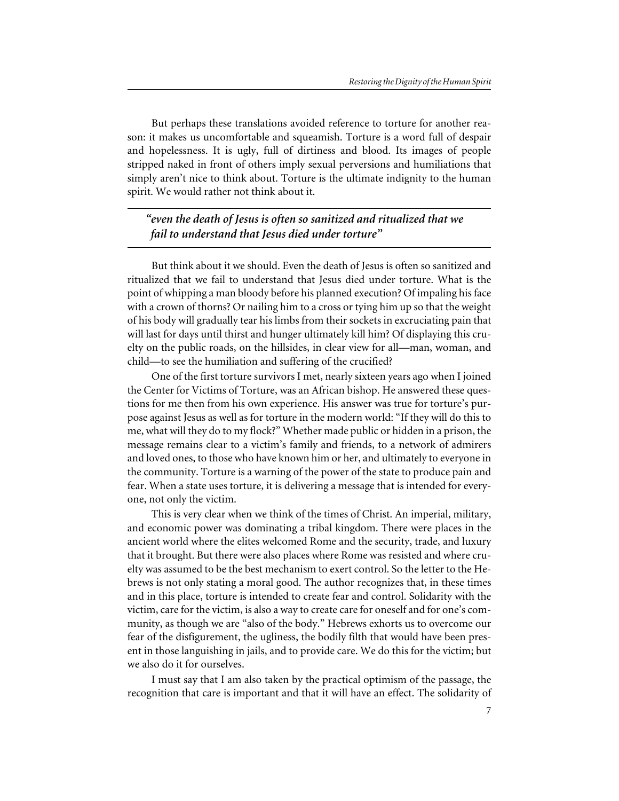But perhaps these translations avoided reference to torture for another reason: it makes us uncomfortable and squeamish. Torture is a word full of despair and hopelessness. It is ugly, full of dirtiness and blood. Its images of people stripped naked in front of others imply sexual perversions and humiliations that simply aren't nice to think about. Torture is the ultimate indignity to the human spirit. We would rather not think about it.

*"even the death of Jesus is often so sanitized and ritualized that we fail to understand that Jesus died under torture"*

But think about it we should. Even the death of Jesus is often so sanitized and ritualized that we fail to understand that Jesus died under torture. What is the point of whipping a man bloody before his planned execution? Of impaling his face with a crown of thorns? Or nailing him to a cross or tying him up so that the weight of his body will gradually tear his limbs from their sockets in excruciating pain that will last for days until thirst and hunger ultimately kill him? Of displaying this cruelty on the public roads, on the hillsides, in clear view for all—man, woman, and child—to see the humiliation and suffering of the crucified?

One of the first torture survivors I met, nearly sixteen years ago when I joined the Center for Victims of Torture, was an African bishop. He answered these questions for me then from his own experience. His answer was true for torture's purpose against Jesus as well as for torture in the modern world: "If they will do this to me, what will they do to my flock?" Whether made public or hidden in a prison, the message remains clear to a victim's family and friends, to a network of admirers and loved ones, to those who have known him or her, and ultimately to everyone in the community. Torture is a warning of the power of the state to produce pain and fear. When a state uses torture, it is delivering a message that is intended for everyone, not only the victim.

This is very clear when we think of the times of Christ. An imperial, military, and economic power was dominating a tribal kingdom. There were places in the ancient world where the elites welcomed Rome and the security, trade, and luxury that it brought. But there were also places where Rome was resisted and where cruelty was assumed to be the best mechanism to exert control. So the letter to the Hebrews is not only stating a moral good. The author recognizes that, in these times and in this place, torture is intended to create fear and control. Solidarity with the victim, care for the victim, is also a way to create care for oneself and for one's community, as though we are "also of the body." Hebrews exhorts us to overcome our fear of the disfigurement, the ugliness, the bodily filth that would have been present in those languishing in jails, and to provide care. We do this for the victim; but we also do it for ourselves.

I must say that I am also taken by the practical optimism of the passage, the recognition that care is important and that it will have an effect. The solidarity of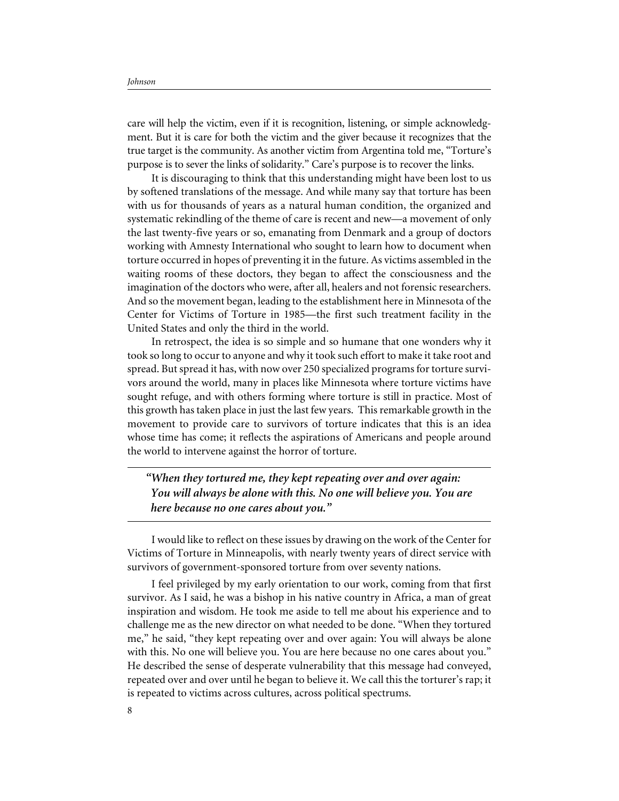care will help the victim, even if it is recognition, listening, or simple acknowledgment. But it is care for both the victim and the giver because it recognizes that the true target is the community. As another victim from Argentina told me, "Torture's purpose is to sever the links of solidarity." Care's purpose is to recover the links.

It is discouraging to think that this understanding might have been lost to us by softened translations of the message. And while many say that torture has been with us for thousands of years as a natural human condition, the organized and systematic rekindling of the theme of care is recent and new—a movement of only the last twenty-five years or so, emanating from Denmark and a group of doctors working with Amnesty International who sought to learn how to document when torture occurred in hopes of preventing it in the future. As victims assembled in the waiting rooms of these doctors, they began to affect the consciousness and the imagination of the doctors who were, after all, healers and not forensic researchers. And so the movement began, leading to the establishment here in Minnesota of the Center for Victims of Torture in 1985—the first such treatment facility in the United States and only the third in the world.

In retrospect, the idea is so simple and so humane that one wonders why it took so long to occur to anyone and why it took such effort to make it take root and spread. But spread it has, with now over 250 specialized programs for torture survivors around the world, many in places like Minnesota where torture victims have sought refuge, and with others forming where torture is still in practice. Most of this growth has taken place in just the last few years. This remarkable growth in the movement to provide care to survivors of torture indicates that this is an idea whose time has come; it reflects the aspirations of Americans and people around the world to intervene against the horror of torture.

*"When they tortured me, they kept repeating over and over again: You will always be alone with this. No one will believe you. You are here because no one cares about you."*

I would like to reflect on these issues by drawing on the work of the Center for Victims of Torture in Minneapolis, with nearly twenty years of direct service with survivors of government-sponsored torture from over seventy nations.

I feel privileged by my early orientation to our work, coming from that first survivor. As I said, he was a bishop in his native country in Africa, a man of great inspiration and wisdom. He took me aside to tell me about his experience and to challenge me as the new director on what needed to be done. "When they tortured me," he said, "they kept repeating over and over again: You will always be alone with this. No one will believe you. You are here because no one cares about you." He described the sense of desperate vulnerability that this message had conveyed, repeated over and over until he began to believe it. We call this the torturer's rap; it is repeated to victims across cultures, across political spectrums.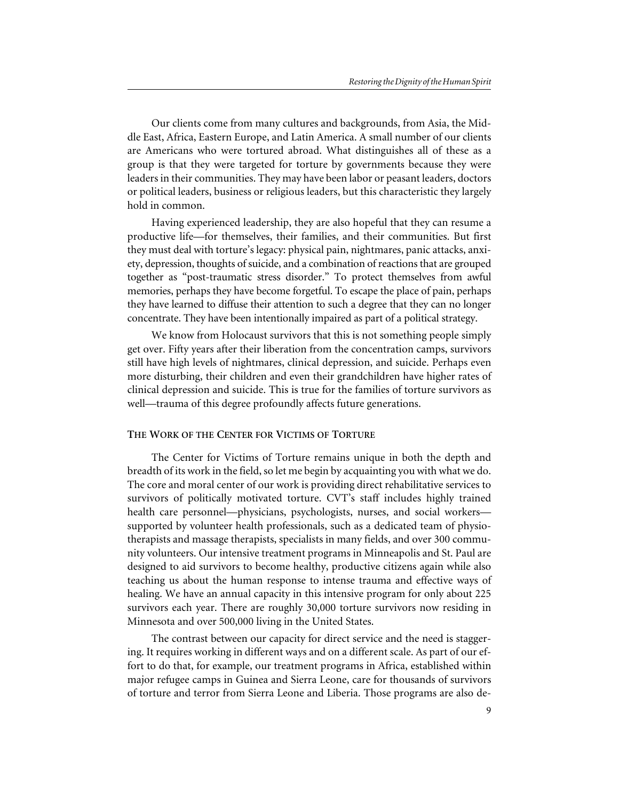Our clients come from many cultures and backgrounds, from Asia, the Middle East, Africa, Eastern Europe, and Latin America. A small number of our clients are Americans who were tortured abroad. What distinguishes all of these as a group is that they were targeted for torture by governments because they were leaders in their communities. They may have been labor or peasant leaders, doctors or political leaders, business or religious leaders, but this characteristic they largely hold in common.

Having experienced leadership, they are also hopeful that they can resume a productive life—for themselves, their families, and their communities. But first they must deal with torture's legacy: physical pain, nightmares, panic attacks, anxiety, depression, thoughts of suicide, and a combination of reactions that are grouped together as "post-traumatic stress disorder." To protect themselves from awful memories, perhaps they have become forgetful. To escape the place of pain, perhaps they have learned to diffuse their attention to such a degree that they can no longer concentrate. They have been intentionally impaired as part of a political strategy.

We know from Holocaust survivors that this is not something people simply get over. Fifty years after their liberation from the concentration camps, survivors still have high levels of nightmares, clinical depression, and suicide. Perhaps even more disturbing, their children and even their grandchildren have higher rates of clinical depression and suicide. This is true for the families of torture survivors as well—trauma of this degree profoundly affects future generations.

#### **THE WORK OF THE CENTER FOR VICTIMS OF TORTURE**

The Center for Victims of Torture remains unique in both the depth and breadth of its work in the field, so let me begin by acquainting you with what we do. The core and moral center of our work is providing direct rehabilitative services to survivors of politically motivated torture. CVT's staff includes highly trained health care personnel—physicians, psychologists, nurses, and social workers supported by volunteer health professionals, such as a dedicated team of physiotherapists and massage therapists, specialists in many fields, and over 300 community volunteers. Our intensive treatment programs in Minneapolis and St. Paul are designed to aid survivors to become healthy, productive citizens again while also teaching us about the human response to intense trauma and effective ways of healing. We have an annual capacity in this intensive program for only about 225 survivors each year. There are roughly 30,000 torture survivors now residing in Minnesota and over 500,000 living in the United States.

The contrast between our capacity for direct service and the need is staggering. It requires working in different ways and on a different scale. As part of our effort to do that, for example, our treatment programs in Africa, established within major refugee camps in Guinea and Sierra Leone, care for thousands of survivors of torture and terror from Sierra Leone and Liberia. Those programs are also de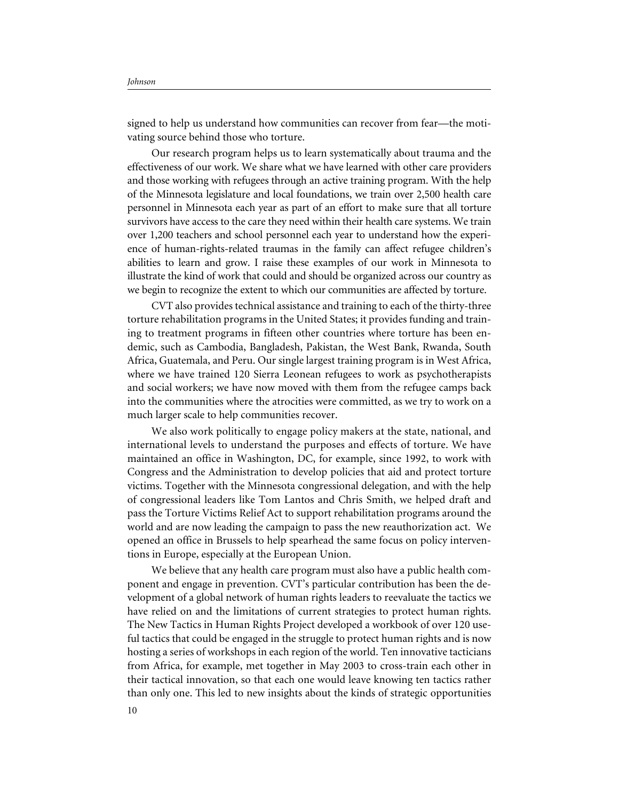signed to help us understand how communities can recover from fear—the motivating source behind those who torture.

Our research program helps us to learn systematically about trauma and the effectiveness of our work. We share what we have learned with other care providers and those working with refugees through an active training program. With the help of the Minnesota legislature and local foundations, we train over 2,500 health care personnel in Minnesota each year as part of an effort to make sure that all torture survivors have access to the care they need within their health care systems. We train over 1,200 teachers and school personnel each year to understand how the experience of human-rights-related traumas in the family can affect refugee children's abilities to learn and grow. I raise these examples of our work in Minnesota to illustrate the kind of work that could and should be organized across our country as we begin to recognize the extent to which our communities are affected by torture.

CVT also provides technical assistance and training to each of the thirty-three torture rehabilitation programs in the United States; it provides funding and training to treatment programs in fifteen other countries where torture has been endemic, such as Cambodia, Bangladesh, Pakistan, the West Bank, Rwanda, South Africa, Guatemala, and Peru. Our single largest training program is in West Africa, where we have trained 120 Sierra Leonean refugees to work as psychotherapists and social workers; we have now moved with them from the refugee camps back into the communities where the atrocities were committed, as we try to work on a much larger scale to help communities recover.

We also work politically to engage policy makers at the state, national, and international levels to understand the purposes and effects of torture. We have maintained an office in Washington, DC, for example, since 1992, to work with Congress and the Administration to develop policies that aid and protect torture victims. Together with the Minnesota congressional delegation, and with the help of congressional leaders like Tom Lantos and Chris Smith, we helped draft and pass the Torture Victims Relief Act to support rehabilitation programs around the world and are now leading the campaign to pass the new reauthorization act. We opened an office in Brussels to help spearhead the same focus on policy interventions in Europe, especially at the European Union.

We believe that any health care program must also have a public health component and engage in prevention. CVT's particular contribution has been the development of a global network of human rights leaders to reevaluate the tactics we have relied on and the limitations of current strategies to protect human rights. The New Tactics in Human Rights Project developed a workbook of over 120 useful tactics that could be engaged in the struggle to protect human rights and is now hosting a series of workshops in each region of the world. Ten innovative tacticians from Africa, for example, met together in May 2003 to cross-train each other in their tactical innovation, so that each one would leave knowing ten tactics rather than only one. This led to new insights about the kinds of strategic opportunities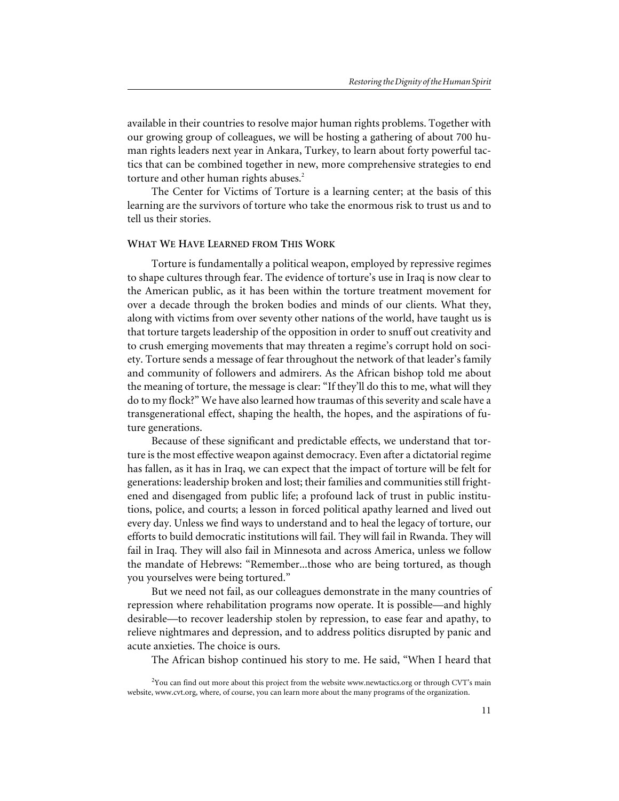available in their countries to resolve major human rights problems. Together with our growing group of colleagues, we will be hosting a gathering of about 700 human rights leaders next year in Ankara, Turkey, to learn about forty powerful tactics that can be combined together in new, more comprehensive strategies to end torture and other human rights abuses.<sup>2</sup>

The Center for Victims of Torture is a learning center; at the basis of this learning are the survivors of torture who take the enormous risk to trust us and to tell us their stories.

#### **WHAT WE HAVE LEARNED FROM THIS WORK**

Torture is fundamentally a political weapon, employed by repressive regimes to shape cultures through fear. The evidence of torture's use in Iraq is now clear to the American public, as it has been within the torture treatment movement for over a decade through the broken bodies and minds of our clients. What they, along with victims from over seventy other nations of the world, have taught us is that torture targets leadership of the opposition in order to snuff out creativity and to crush emerging movements that may threaten a regime's corrupt hold on society. Torture sends a message of fear throughout the network of that leader's family and community of followers and admirers. As the African bishop told me about the meaning of torture, the message is clear: "If they'll do this to me, what will they do to my flock?" We have also learned how traumas of this severity and scale have a transgenerational effect, shaping the health, the hopes, and the aspirations of future generations.

Because of these significant and predictable effects, we understand that torture is the most effective weapon against democracy. Even after a dictatorial regime has fallen, as it has in Iraq, we can expect that the impact of torture will be felt for generations: leadership broken and lost; their families and communities still frightened and disengaged from public life; a profound lack of trust in public institutions, police, and courts; a lesson in forced political apathy learned and lived out every day. Unless we find ways to understand and to heal the legacy of torture, our efforts to build democratic institutions will fail. They will fail in Rwanda. They will fail in Iraq. They will also fail in Minnesota and across America, unless we follow the mandate of Hebrews: "Remember...those who are being tortured, as though you yourselves were being tortured."

But we need not fail, as our colleagues demonstrate in the many countries of repression where rehabilitation programs now operate. It is possible—and highly desirable—to recover leadership stolen by repression, to ease fear and apathy, to relieve nightmares and depression, and to address politics disrupted by panic and acute anxieties. The choice is ours.

The African bishop continued his story to me. He said, "When I heard that

 $2$ You can find out more about this project from the website www.newtactics.org or through CVT's main website, www.cvt.org, where, of course, you can learn more about the many programs of the organization.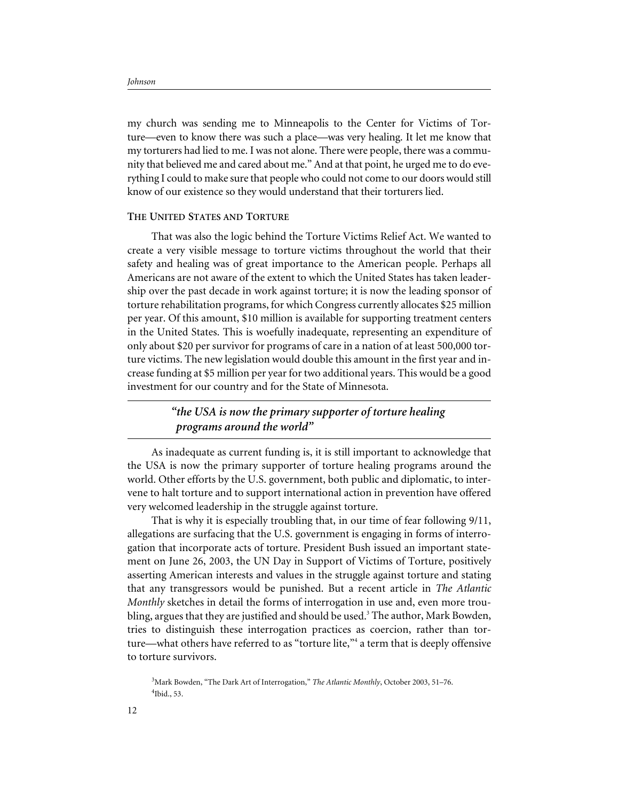my church was sending me to Minneapolis to the Center for Victims of Torture—even to know there was such a place—was very healing. It let me know that my torturers had lied to me. I was not alone. There were people, there was a community that believed me and cared about me." And at that point, he urged me to do everything I could to make sure that people who could not come to our doors would still know of our existence so they would understand that their torturers lied.

#### **THE UNITED STATES AND TORTURE**

That was also the logic behind the Torture Victims Relief Act. We wanted to create a very visible message to torture victims throughout the world that their safety and healing was of great importance to the American people. Perhaps all Americans are not aware of the extent to which the United States has taken leadership over the past decade in work against torture; it is now the leading sponsor of torture rehabilitation programs, for which Congress currently allocates \$25 million per year. Of this amount, \$10 million is available for supporting treatment centers in the United States. This is woefully inadequate, representing an expenditure of only about \$20 per survivor for programs of care in a nation of at least 500,000 torture victims. The new legislation would double this amount in the first year and increase funding at \$5 million per year for two additional years. This would be a good investment for our country and for the State of Minnesota.

### *"the USA is now the primary supporter of torture healing programs around the world"*

As inadequate as current funding is, it is still important to acknowledge that the USA is now the primary supporter of torture healing programs around the world. Other efforts by the U.S. government, both public and diplomatic, to intervene to halt torture and to support international action in prevention have offered very welcomed leadership in the struggle against torture.

That is why it is especially troubling that, in our time of fear following 9/11, allegations are surfacing that the U.S. government is engaging in forms of interrogation that incorporate acts of torture. President Bush issued an important statement on June 26, 2003, the UN Day in Support of Victims of Torture, positively asserting American interests and values in the struggle against torture and stating that any transgressors would be punished. But a recent article in *The Atlantic Monthly* sketches in detail the forms of interrogation in use and, even more troubling, argues that they are justified and should be used.<sup>3</sup> The author, Mark Bowden, tries to distinguish these interrogation practices as coercion, rather than torture—what others have referred to as "torture lite,"<sup>4</sup> a term that is deeply offensive to torture survivors.

3 Mark Bowden, "The Dark Art of Interrogation," *The Atlantic Monthly*, October 2003, 51–76. 4 Ibid., 53.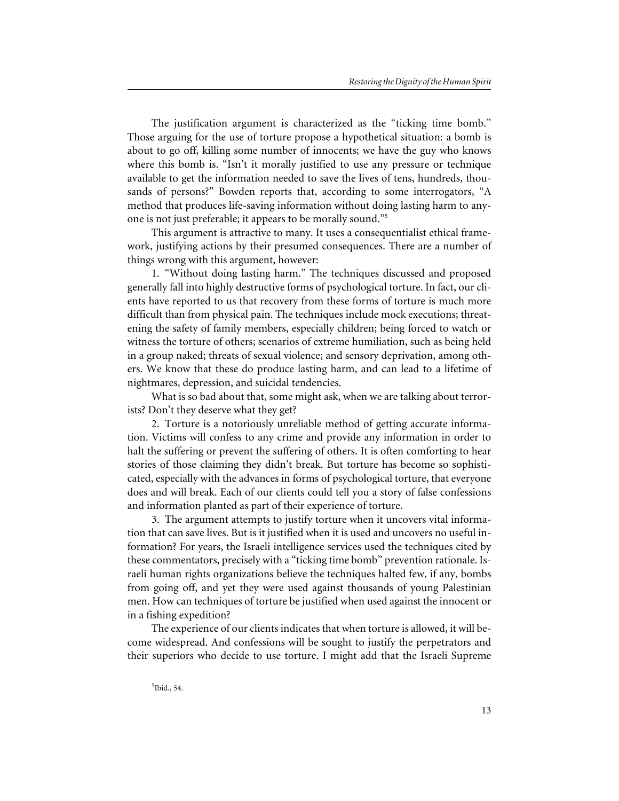The justification argument is characterized as the "ticking time bomb." Those arguing for the use of torture propose a hypothetical situation: a bomb is about to go off, killing some number of innocents; we have the guy who knows where this bomb is. "Isn't it morally justified to use any pressure or technique available to get the information needed to save the lives of tens, hundreds, thousands of persons?" Bowden reports that, according to some interrogators, "A method that produces life-saving information without doing lasting harm to anyone is not just preferable; it appears to be morally sound."5

This argument is attractive to many. It uses a consequentialist ethical framework, justifying actions by their presumed consequences. There are a number of things wrong with this argument, however:

1. "Without doing lasting harm." The techniques discussed and proposed generally fall into highly destructive forms of psychological torture. In fact, our clients have reported to us that recovery from these forms of torture is much more difficult than from physical pain. The techniques include mock executions; threatening the safety of family members, especially children; being forced to watch or witness the torture of others; scenarios of extreme humiliation, such as being held in a group naked; threats of sexual violence; and sensory deprivation, among others. We know that these do produce lasting harm, and can lead to a lifetime of nightmares, depression, and suicidal tendencies.

What is so bad about that, some might ask, when we are talking about terrorists? Don't they deserve what they get?

2. Torture is a notoriously unreliable method of getting accurate information. Victims will confess to any crime and provide any information in order to halt the suffering or prevent the suffering of others. It is often comforting to hear stories of those claiming they didn't break. But torture has become so sophisticated, especially with the advances in forms of psychological torture, that everyone does and will break. Each of our clients could tell you a story of false confessions and information planted as part of their experience of torture.

3. The argument attempts to justify torture when it uncovers vital information that can save lives. But is it justified when it is used and uncovers no useful information? For years, the Israeli intelligence services used the techniques cited by these commentators, precisely with a "ticking time bomb" prevention rationale. Israeli human rights organizations believe the techniques halted few, if any, bombs from going off, and yet they were used against thousands of young Palestinian men. How can techniques of torture be justified when used against the innocent or in a fishing expedition?

The experience of our clients indicates that when torture is allowed, it will become widespread. And confessions will be sought to justify the perpetrators and their superiors who decide to use torture. I might add that the Israeli Supreme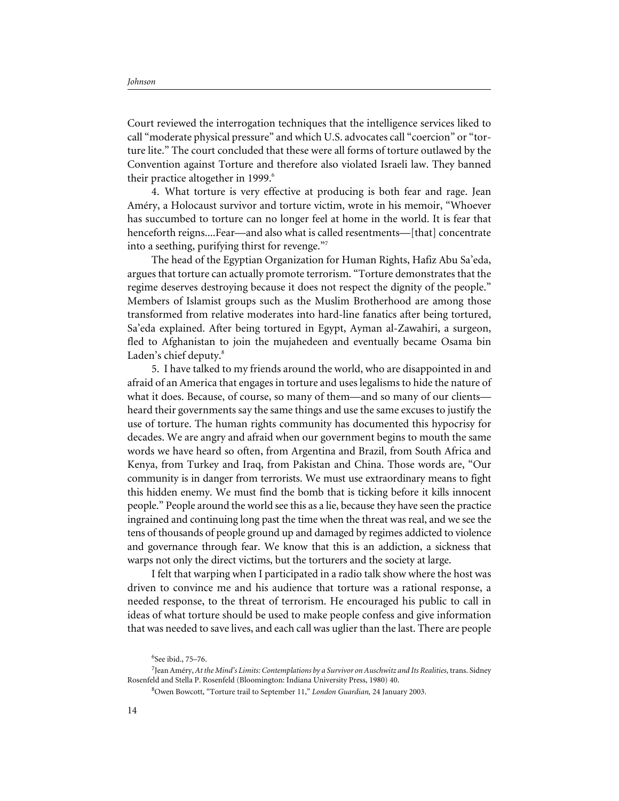Court reviewed the interrogation techniques that the intelligence services liked to call "moderate physical pressure" and which U.S. advocates call "coercion" or "torture lite." The court concluded that these were all forms of torture outlawed by the Convention against Torture and therefore also violated Israeli law. They banned their practice altogether in 1999.<sup>6</sup>

4. What torture is very effective at producing is both fear and rage. Jean Améry, a Holocaust survivor and torture victim, wrote in his memoir, "Whoever has succumbed to torture can no longer feel at home in the world. It is fear that henceforth reigns....Fear—and also what is called resentments—[that] concentrate into a seething, purifying thirst for revenge."7

The head of the Egyptian Organization for Human Rights, Hafiz Abu Sa'eda, argues that torture can actually promote terrorism. "Torture demonstrates that the regime deserves destroying because it does not respect the dignity of the people." Members of Islamist groups such as the Muslim Brotherhood are among those transformed from relative moderates into hard-line fanatics after being tortured, Sa'eda explained. After being tortured in Egypt, Ayman al-Zawahiri, a surgeon, fled to Afghanistan to join the mujahedeen and eventually became Osama bin Laden's chief deputy.<sup>8</sup>

5. I have talked to my friends around the world, who are disappointed in and afraid of an America that engages in torture and uses legalisms to hide the nature of what it does. Because, of course, so many of them—and so many of our clients heard their governments say the same things and use the same excuses to justify the use of torture. The human rights community has documented this hypocrisy for decades. We are angry and afraid when our government begins to mouth the same words we have heard so often, from Argentina and Brazil, from South Africa and Kenya, from Turkey and Iraq, from Pakistan and China. Those words are, "Our community is in danger from terrorists. We must use extraordinary means to fight this hidden enemy. We must find the bomb that is ticking before it kills innocent people." People around the world see this as a lie, because they have seen the practice ingrained and continuing long past the time when the threat was real, and we see the tens of thousands of people ground up and damaged by regimes addicted to violence and governance through fear. We know that this is an addiction, a sickness that warps not only the direct victims, but the torturers and the society at large.

I felt that warping when I participated in a radio talk show where the host was driven to convince me and his audience that torture was a rational response, a needed response, to the threat of terrorism. He encouraged his public to call in ideas of what torture should be used to make people confess and give information that was needed to save lives, and each call was uglier than the last. There are people

<sup>6</sup> See ibid., 75–76.

<sup>7</sup> Jean Améry, *At the Mind's Limits: Contemplations by a Survivor on Auschwitz and Its Realities*, trans. Sidney Rosenfeld and Stella P. Rosenfeld (Bloomington: Indiana University Press, 1980) 40.

<sup>8</sup> Owen Bowcott, "Torture trail to September 11," *London Guardian,* 24 January 2003.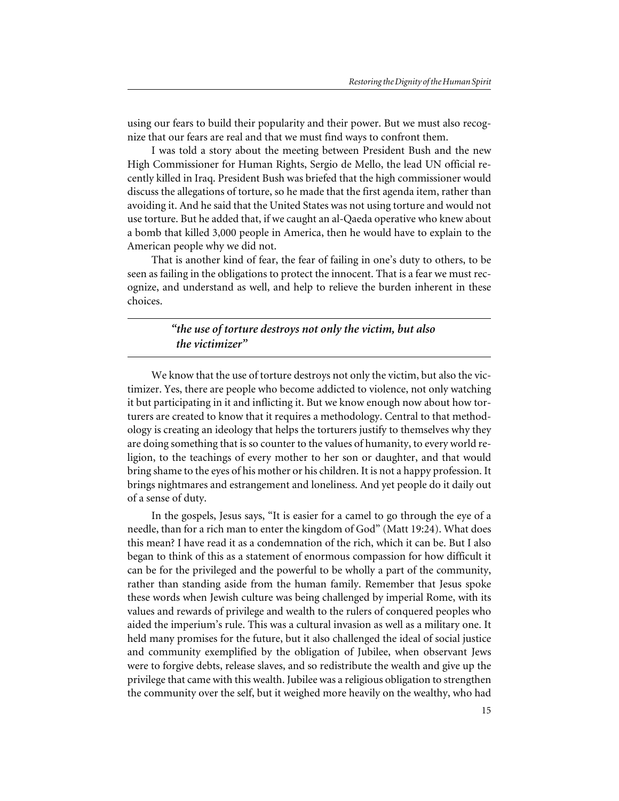using our fears to build their popularity and their power. But we must also recognize that our fears are real and that we must find ways to confront them.

I was told a story about the meeting between President Bush and the new High Commissioner for Human Rights, Sergio de Mello, the lead UN official recently killed in Iraq. President Bush was briefed that the high commissioner would discuss the allegations of torture, so he made that the first agenda item, rather than avoiding it. And he said that the United States was not using torture and would not use torture. But he added that, if we caught an al-Qaeda operative who knew about a bomb that killed 3,000 people in America, then he would have to explain to the American people why we did not.

That is another kind of fear, the fear of failing in one's duty to others, to be seen as failing in the obligations to protect the innocent. That is a fear we must recognize, and understand as well, and help to relieve the burden inherent in these choices.

## *"the use of torture destroys not only the victim, but also the victimizer"*

We know that the use of torture destroys not only the victim, but also the victimizer. Yes, there are people who become addicted to violence, not only watching it but participating in it and inflicting it. But we know enough now about how torturers are created to know that it requires a methodology. Central to that methodology is creating an ideology that helps the torturers justify to themselves why they are doing something that is so counter to the values of humanity, to every world religion, to the teachings of every mother to her son or daughter, and that would bring shame to the eyes of his mother or his children. It is not a happy profession. It brings nightmares and estrangement and loneliness. And yet people do it daily out of a sense of duty.

In the gospels, Jesus says, "It is easier for a camel to go through the eye of a needle, than for a rich man to enter the kingdom of God" (Matt 19:24). What does this mean? I have read it as a condemnation of the rich, which it can be. But I also began to think of this as a statement of enormous compassion for how difficult it can be for the privileged and the powerful to be wholly a part of the community, rather than standing aside from the human family. Remember that Jesus spoke these words when Jewish culture was being challenged by imperial Rome, with its values and rewards of privilege and wealth to the rulers of conquered peoples who aided the imperium's rule. This was a cultural invasion as well as a military one. It held many promises for the future, but it also challenged the ideal of social justice and community exemplified by the obligation of Jubilee, when observant Jews were to forgive debts, release slaves, and so redistribute the wealth and give up the privilege that came with this wealth. Jubilee was a religious obligation to strengthen the community over the self, but it weighed more heavily on the wealthy, who had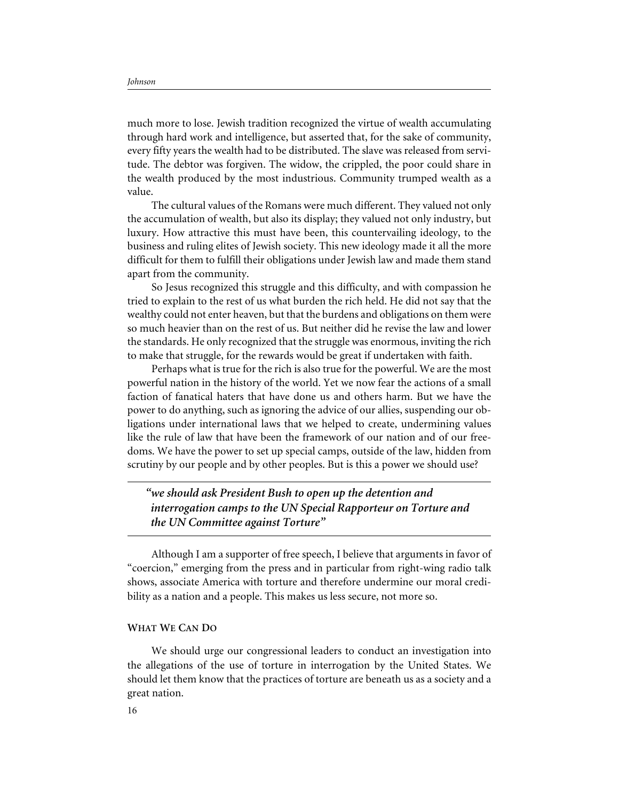much more to lose. Jewish tradition recognized the virtue of wealth accumulating through hard work and intelligence, but asserted that, for the sake of community, every fifty years the wealth had to be distributed. The slave was released from servitude. The debtor was forgiven. The widow, the crippled, the poor could share in the wealth produced by the most industrious. Community trumped wealth as a value.

The cultural values of the Romans were much different. They valued not only the accumulation of wealth, but also its display; they valued not only industry, but luxury. How attractive this must have been, this countervailing ideology, to the business and ruling elites of Jewish society. This new ideology made it all the more difficult for them to fulfill their obligations under Jewish law and made them stand apart from the community.

So Jesus recognized this struggle and this difficulty, and with compassion he tried to explain to the rest of us what burden the rich held. He did not say that the wealthy could not enter heaven, but that the burdens and obligations on them were so much heavier than on the rest of us. But neither did he revise the law and lower the standards. He only recognized that the struggle was enormous, inviting the rich to make that struggle, for the rewards would be great if undertaken with faith.

Perhaps what is true for the rich is also true for the powerful. We are the most powerful nation in the history of the world. Yet we now fear the actions of a small faction of fanatical haters that have done us and others harm. But we have the power to do anything, such as ignoring the advice of our allies, suspending our obligations under international laws that we helped to create, undermining values like the rule of law that have been the framework of our nation and of our freedoms. We have the power to set up special camps, outside of the law, hidden from scrutiny by our people and by other peoples. But is this a power we should use?

*"we should ask President Bush to open up the detention and interrogation camps to the UN Special Rapporteur on Torture and the UN Committee against Torture"*

Although I am a supporter of free speech, I believe that arguments in favor of "coercion," emerging from the press and in particular from right-wing radio talk shows, associate America with torture and therefore undermine our moral credibility as a nation and a people. This makes us less secure, not more so.

#### **WHAT WE CAN DO**

We should urge our congressional leaders to conduct an investigation into the allegations of the use of torture in interrogation by the United States. We should let them know that the practices of torture are beneath us as a society and a great nation.